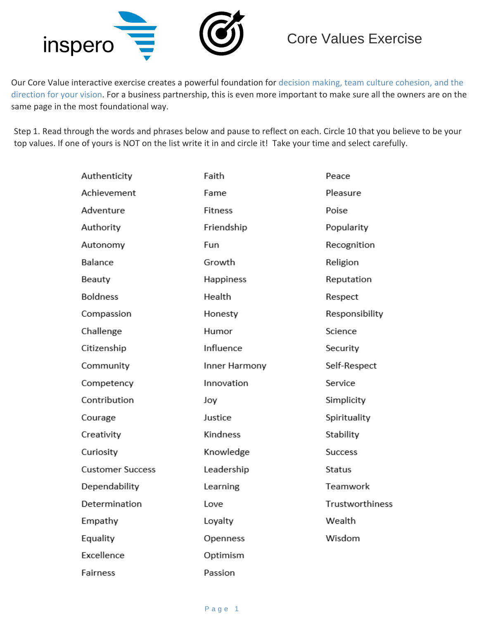

Our Core Value interactive exercise creates a powerful foundation for decision making, team culture cohesion, and the direction for your vision. For a business partnership, this is even more important to make sure all the owners are on the same page in the most foundational way.

Step 1. Read through the words and phrases below and pause to reflect on each. Circle 10 that you believe to be your top values. If one of yours is NOT on the list write it in and circle it! Take your time and select carefully.

| Authenticity            | Faith          | Peace                  |  |
|-------------------------|----------------|------------------------|--|
| Achievement             | Fame           | Pleasure               |  |
| Adventure               | <b>Fitness</b> | Poise                  |  |
| Authority               | Friendship     | Popularity             |  |
| Autonomy                | Fun            | Recognition            |  |
| Balance                 | Growth         | Religion               |  |
| Beauty                  | Happiness      | Reputation             |  |
| <b>Boldness</b>         | Health         | Respect                |  |
| Compassion              | Honesty        | Responsibility         |  |
| Challenge               | Humor          | Science                |  |
| Citizenship             | Influence      | Security               |  |
| Community               | Inner Harmony  | Self-Respect           |  |
| Competency              | Innovation     | Service                |  |
| Contribution            | Joy            | Simplicity             |  |
| Courage                 | Justice        | Spirituality           |  |
| Creativity              | Kindness       | Stability              |  |
| Curiosity               | Knowledge      | <b>Success</b>         |  |
| <b>Customer Success</b> | Leadership     | Status                 |  |
| Dependability           | Learning       | Teamwork               |  |
| Determination           | Love           | <b>Trustworthiness</b> |  |
| Empathy                 | Loyalty        | Wealth                 |  |
| Equality                | Openness       | Wisdom                 |  |
| Excellence              | Optimism       |                        |  |
| Fairness                | Passion        |                        |  |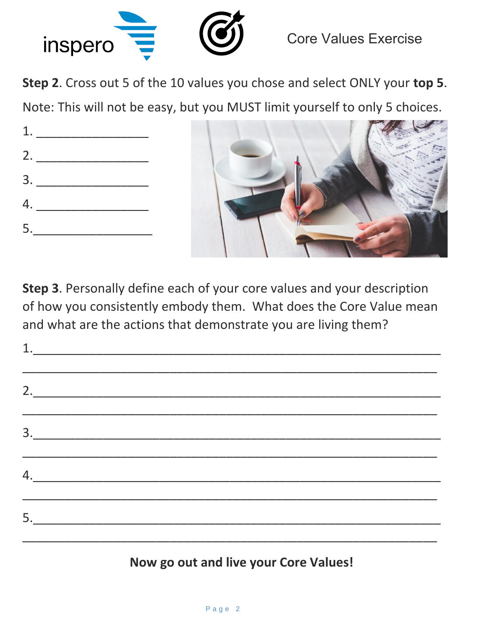

**Step 2**. Cross out 5 of the 10 values you chose and select ONLY your **top 5**.

Note: This will not be easy, but you MUST limit yourself to only 5 choices.

|  | 1. $\blacksquare$ |  |  |  |  |
|--|-------------------|--|--|--|--|
|  | 2.                |  |  |  |  |
|  |                   |  |  |  |  |
|  | 4.                |  |  |  |  |
|  | 5.                |  |  |  |  |
|  |                   |  |  |  |  |



**Step 3**. Personally define each of your core values and your description of how you consistently embody them. What does the Core Value mean and what are the actions that demonstrate you are living them?

| 1. |                                                                                                                                                                                                                                                                                                                                                                                                                 |  |  |
|----|-----------------------------------------------------------------------------------------------------------------------------------------------------------------------------------------------------------------------------------------------------------------------------------------------------------------------------------------------------------------------------------------------------------------|--|--|
|    | 2.                                                                                                                                                                                                                                                                                                                                                                                                              |  |  |
|    | $\begin{array}{c c c c c} \hline \rule{0pt}{2ex} & \rule{0pt}{2ex} & \rule{0pt}{2ex} & \rule{0pt}{2ex} & \rule{0pt}{2ex} & \rule{0pt}{2ex} & \rule{0pt}{2ex} & \rule{0pt}{2ex} & \rule{0pt}{2ex} & \rule{0pt}{2ex} & \rule{0pt}{2ex} & \rule{0pt}{2ex} & \rule{0pt}{2ex} & \rule{0pt}{2ex} & \rule{0pt}{2ex} & \rule{0pt}{2ex} & \rule{0pt}{2ex} & \rule{0pt}{2ex} & \rule{0pt}{2ex} & \rule{0pt}{2ex} & \rule$ |  |  |
|    |                                                                                                                                                                                                                                                                                                                                                                                                                 |  |  |
|    |                                                                                                                                                                                                                                                                                                                                                                                                                 |  |  |

**Now go out and live your Core Values!**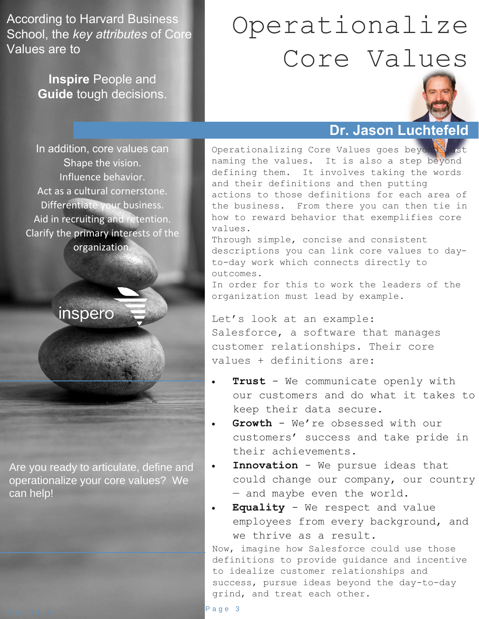According to Harvard Business School, the *key attributes* of Core Values are to

> **Inspire** People and **Guide** tough decisions.

## Operationalize Core Values



## **Dr. Jason Luchtefeld**

In addition, core values can Shape the vision. Influence behavior. Act as a cultural cornerstone. Differentiate your business. Aid in recruiting and retention. Clarify the primary interests of the organization.

inspero

Are you ready to articulate, define and operationalize your core values? We can help!

Operationalizing Core Values goes beyond naming the values. It is also a step beyond defining them. It involves taking the words and their definitions and then putting actions to those definitions for each area of the business. From there you can then tie in how to reward behavior that exemplifies core values.

Through simple, concise and consistent descriptions you can link core values to dayto-day work which connects directly to outcomes.

In order for this to work the leaders of the organization must lead by example.

Let's look at an example: Salesforce, a software that manages customer relationships. Their core values + definitions are:

- **Trust** We communicate openly with our customers and do what it takes to keep their data secure.
- Growth We're obsessed with our customers' success and take pride in their achievements.
- **Innovation** We pursue ideas that could change our company, our country — and maybe even the world.
- **Equality** We respect and value employees from every background, and we thrive as a result.

Now, imagine how Salesforce could use those definitions to provide guidance and incentive to idealize customer relationships and success, pursue ideas beyond the day-to-day grind, and treat each other.